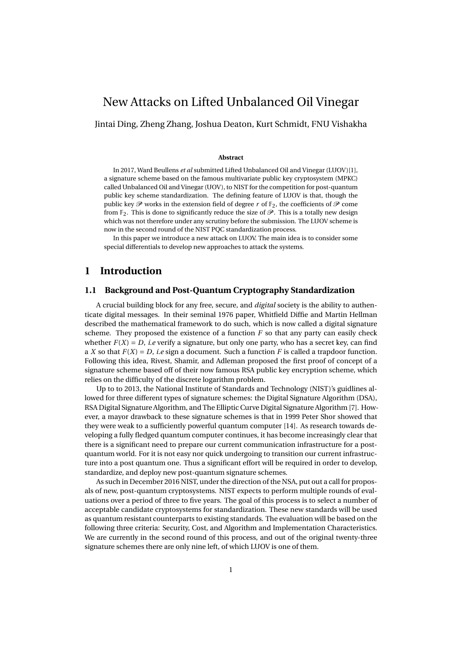# New Attacks on Lifted Unbalanced Oil Vinegar

Jintai Ding, Zheng Zhang, Joshua Deaton, Kurt Schmidt, FNU Vishakha

#### **Abstract**

In 2017, Ward Beullens *et al* submitted Lifted Unbalanced Oil and Vinegar (LUOV)[\[1\]](#page-11-0), a signature scheme based on the famous multivariate public key cryptosystem (MPKC) called Unbalanced Oil and Vinegar (UOV), to NIST for the competition for post-quantum public key scheme standardization. The defning feature of LUOV is that, though the public key  $\mathcal P$  works in the extension field of degree *r* of  $\mathbb F_2$ , the coefficients of  $\mathcal P$  come from  $\mathbb{F}_2$ . This is done to significantly reduce the size of  $\mathscr{P}$ . This is a totally new design which was not therefore under any scrutiny before the submission. The LUOV scheme is now in the second round of the NIST PQC standardization process.

In this paper we introduce a new attack on LUOV. The main idea is to consider some special differentials to develop new approaches to attack the systems.

# **1 Introduction**

#### **1.1 Background and Post-Quantum Cryptography Standardization**

A crucial building block for any free, secure, and *digital* society is the ability to authenticate digital messages. In their seminal 1976 paper, Whitfeld Diffe and Martin Hellman described the mathematical framework to do such, which is now called a digital signature scheme. They proposed the existence of a function  $F$  so that any party can easily check whether  $F(X) = D$ , *i.e* verify a signature, but only one party, who has a secret key, can find a *X* so that  $F(X) = D$ , *i.e* sign a document. Such a function *F* is called a trapdoor function. Following this idea, Rivest, Shamir, and Adleman proposed the frst proof of concept of a signature scheme based off of their now famous RSA public key encryption scheme, which relies on the diffculty of the discrete logarithm problem.

Up to to 2013, the National Institute of Standards and Technology (NIST)'s guidlines allowed for three different types of signature schemes: the Digital Signature Algorithm (DSA), RSA Digital Signature Algorithm, and The Elliptic Curve Digital Signature Algorithm [\[7\]](#page-11-1). However, a mayor drawback to these signature schemes is that in 1999 Peter Shor showed that they were weak to a suffciently powerful quantum computer [\[14\]](#page-11-2). As research towards developing a fully fedged quantum computer continues, it has become increasingly clear that there is a signifcant need to prepare our current communication infrastructure for a postquantum world. For it is not easy nor quick undergoing to transition our current infrastructure into a post quantum one. Thus a signifcant effort will be required in order to develop, standardize, and deploy new post-quantum signature schemes.

As such in December 2016 NIST, under the direction of the NSA, put out a call for proposals of new, post-quantum cryptosystems. NIST expects to perform multiple rounds of evaluations over a period of three to fve years. The goal of this process is to select a number of acceptable candidate cryptosystems for standardization. These new standards will be used as quantum resistant counterparts to existing standards. The evaluation will be based on the following three criteria: Security, Cost, and Algorithm and Implementation Characteristics. We are currently in the second round of this process, and out of the original twenty-three signature schemes there are only nine left, of which LUOV is one of them.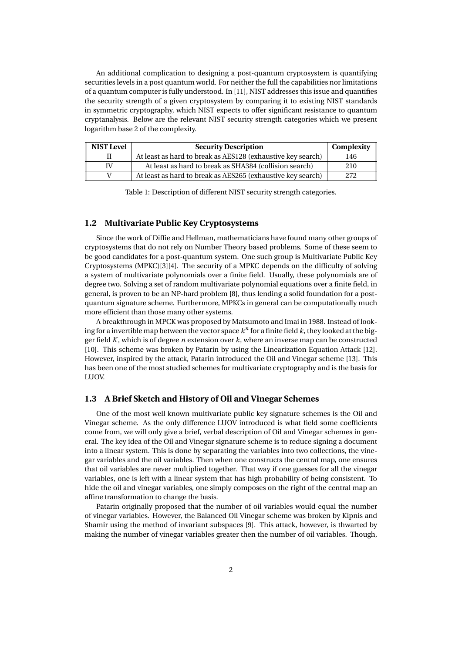An additional complication to designing a post-quantum cryptosystem is quantifying securities levels in a post quantum world. For neither the full the capabilities nor limitations of a quantum computer is fully understood. In [\[11\]](#page-11-3), NIST addresses this issue and quantifes the security strength of a given cryptosystem by comparing it to existing NIST standards in symmetric cryptography, which NIST expects to offer signifcant resistance to quantum cryptanalysis. Below are the relevant NIST security strength categories which we present logarithm base 2 of the complexity.

| <b>NIST Level</b> | <b>Security Description</b>                                 | Complexity |
|-------------------|-------------------------------------------------------------|------------|
|                   | At least as hard to break as AES128 (exhaustive key search) | 146        |
| IV                | At least as hard to break as SHA384 (collision search)      | 210        |
|                   | At least as hard to break as AES265 (exhaustive key search) | 2.72       |

Table 1: Description of different NIST security strength categories.

#### **1.2 Multivariate Public Key Cryptosystems**

Since the work of Diffe and Hellman, mathematicians have found many other groups of cryptosystems that do not rely on Number Theory based problems. Some of these seem to be good candidates for a post-quantum system. One such group is Multivariate Public Key Cryptosystems (MPKC)[\[3\]](#page-11-4)[\[4\]](#page-11-5). The security of a MPKC depends on the diffculty of solving a system of multivariate polynomials over a fnite feld. Usually, these polynomials are of degree two. Solving a set of random multivariate polynomial equations over a fnite feld, in general, is proven to be an NP-hard problem [\[8\]](#page-11-6), thus lending a solid foundation for a postquantum signature scheme. Furthermore, MPKCs in general can be computationally much more efficient than those many other systems.

A breakthrough in MPCK was proposed by Matsumoto and Imai in 1988. Instead of looking for a invertible map between the vector space  $k^n$  for a finite field  $k$ , they looked at the bigger feld *K*, which is of degree *n* extension over *k*, where an inverse map can be constructed [\[10\]](#page-11-7). This scheme was broken by Patarin by using the Linearization Equation Attack [\[12\]](#page-11-8). However, inspired by the attack, Patarin introduced the Oil and Vinegar scheme [\[13\]](#page-11-9). This has been one of the most studied schemes for multivariate cryptography and is the basis for LUOV.

#### **1.3 A Brief Sketch and History of Oil and Vinegar Schemes**

One of the most well known multivariate public key signature schemes is the Oil and Vinegar scheme. As the only difference LUOV introduced is what feld some coeffcients come from, we will only give a brief, verbal description of Oil and Vinegar schemes in general. The key idea of the Oil and Vinegar signature scheme is to reduce signing a document into a linear system. This is done by separating the variables into two collections, the vinegar variables and the oil variables. Then when one constructs the central map, one ensures that oil variables are never multiplied together. That way if one guesses for all the vinegar variables, one is left with a linear system that has high probability of being consistent. To hide the oil and vinegar variables, one simply composes on the right of the central map an affne transformation to change the basis.

Patarin originally proposed that the number of oil variables would equal the number of vinegar variables. However, the Balanced Oil Vinegar scheme was broken by Kipnis and Shamir using the method of invariant subspaces [\[9\]](#page-11-10). This attack, however, is thwarted by making the number of vinegar variables greater then the number of oil variables. Though,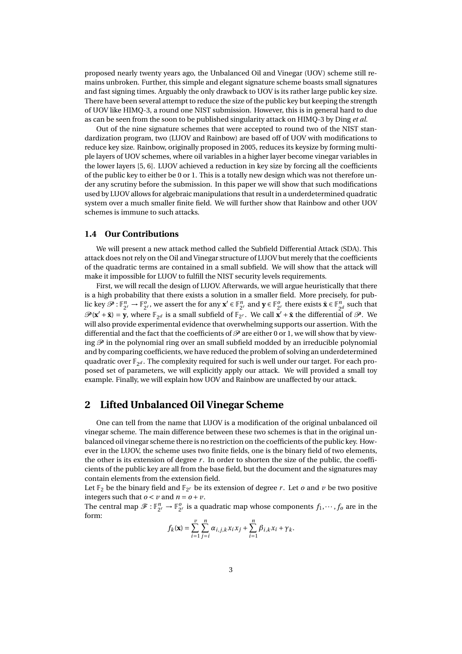proposed nearly twenty years ago, the Unbalanced Oil and Vinegar (UOV) scheme still remains unbroken. Further, this simple and elegant signature scheme boasts small signatures and fast signing times. Arguably the only drawback to UOV is its rather large public key size. There have been several attempt to reduce the size of the public key but keeping the strength of UOV like HIMQ-3, a round one NIST submission. However, this is in general hard to due as can be seen from the soon to be published singularity attack on HIMQ-3 by Ding *et al.*

Out of the nine signature schemes that were accepted to round two of the NIST standardization program, two (LUOV and Rainbow) are based off of UOV with modifcations to reduce key size. Rainbow, originally proposed in 2005, reduces its keysize by forming multiple layers of UOV schemes, where oil variables in a higher layer become vinegar variables in the lower layers [\[5,](#page-11-11) [6\]](#page-11-12). LUOV achieved a reduction in key size by forcing all the coeffcients of the public key to either be 0 or 1. This is a totally new design which was not therefore under any scrutiny before the submission. In this paper we will show that such modifcations used by LUOV allows for algebraic manipulations that result in a underdetermined quadratic system over a much smaller fnite feld. We will further show that Rainbow and other UOV schemes is immune to such attacks.

### **1.4 Our Contributions**

We will present a new attack method called the Subfeld Differential Attack (SDA). This attack does not rely on the Oil and Vinegar structure of LUOV but merely that the coeffcients of the quadratic terms are contained in a small subfeld. We will show that the attack will make it impossible for LUOV to fulfll the NIST security levels requirements.

First, we will recall the design of LUOV. Afterwards, we will argue heuristically that there is a high probability that there exists a solution in a smaller feld. More precisely, for public key  $\mathscr{P}: \mathbb{F}_{2^r}^n \to \mathbb{F}_{2^r}^o$ , we assert the for any  $\mathbf{x}' \in \mathbb{F}_{2^r}^n$  and  $\mathbf{y} \in \mathbb{F}_{2^r}^o$  there exists  $\bar{\mathbf{x}} \in \mathbb{F}_{2^d}^n$  such that  $\mathcal{P}(\mathbf{x}' + \bar{\mathbf{x}}) = \mathbf{y}$ , where  $\mathbb{F}_{2d}$  is a small subfield of  $\mathbb{F}_{2^r}$ . We call  $\mathbf{x}' + \bar{\mathbf{x}}$  the differential of  $\mathcal{P}$ . We will also provide experimental evidence that overwhelming supports our assertion. With the differential and the fact that the coefficients of  $\mathcal P$  are either 0 or 1, we will show that by viewing  $\mathcal P$  in the polynomial ring over an small subfield modded by an irreducible polynomial and by comparing coeffcients, we have reduced the problem of solving an underdetermined quadratic over  $\mathbb{F}_{2d}$ . The complexity required for such is well under our target. For each proposed set of parameters, we will explicitly apply our attack. We will provided a small toy example. Finally, we will explain how UOV and Rainbow are unaffected by our attack.

# **2 Lifted Unbalanced Oil Vinegar Scheme**

One can tell from the name that LUOV is a modifcation of the original unbalanced oil vinegar scheme. The main difference between these two schemes is that in the original unbalanced oil vinegar scheme there is no restriction on the coeffcients of the public key. However in the LUOV, the scheme uses two fnite felds, one is the binary feld of two elements, the other is its extension of degree  $r$ . In order to shorten the size of the public, the coefficients of the public key are all from the base feld, but the document and the signatures may contain elements from the extension feld.

Let  $\mathbb{F}_2$  be the binary field and  $\mathbb{F}_{2^r}$  be its extension of degree *r*. Let *o* and *v* be two positive integers such that  $o < v$  and  $n = o + v$ .

The central map  $\mathscr{F}: \mathbb{F}_{2^r}^n \to \mathbb{F}_{2^r}^o$  is a quadratic map whose components  $f_1, \dots, f_o$  are in the form:

$$
f_k(\mathbf{x}) = \sum_{i=1}^{\nu} \sum_{j=i}^{n} \alpha_{i,j,k} x_i x_j + \sum_{i=1}^{n} \beta_{i,k} x_i + \gamma_k.
$$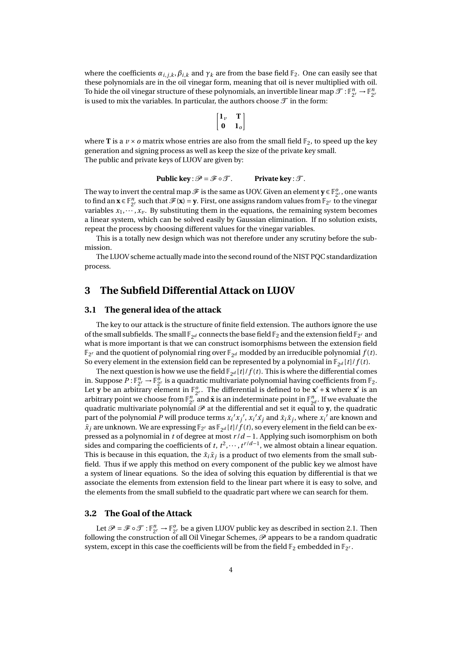where the coefficients  $\alpha_{i,j,k}, \beta_{i,k}$  and  $\gamma_k$  are from the base field  $\mathbb{F}_2$ . One can easily see that these polynomials are in the oil vinegar form, meaning that oil is never multiplied with oil. To hide the oil vinegar structure of these polynomials, an invertible linear map  $\mathcal{T}:\mathbb{F}_{2^r}^n\to\mathbb{F}_{2^r}^n$ is used to mix the variables. In particular, the authors choose  $\mathcal T$  in the form:

$$
\begin{bmatrix} 1_v & T \\ 0 & 1_o \end{bmatrix}
$$

where **T** is a  $\nu \times \text{o}$  matrix whose entries are also from the small field  $\mathbb{F}_2$ , to speed up the key generation and signing process as well as keep the size of the private key small. The public and private keys of LUOV are given by:

$$
Public key: \mathscr{P} = \mathscr{F} \circ \mathscr{T}.
$$
 *Private key: \mathscr{T}.*

The way to invert the central map  $\mathscr F$  is the same as UOV. Given an element  $\mathbf y \in \mathbb F_{2^r}^o$ , one wants to find an  $\mathbf{x} \in \mathbb{F}_{2^r}^n$  such that  $\mathcal{F}(\mathbf{x}) = \mathbf{y}$ . First, one assigns random values from  $\mathbb{F}_{2^r}$  to the vinegar variables  $x_1, \dots, x_\nu$ . By substituting them in the equations, the remaining system becomes a linear system, which can be solved easily by Gaussian elimination. If no solution exists, repeat the process by choosing different values for the vinegar variables.

This is a totally new design which was not therefore under any scrutiny before the submission.

The LUOV scheme actually made into the second round of the NIST PQC standardization process.

# **3 The Subfeld Differential Attack on LUOV**

#### **3.1 The general idea of the attack**

The key to our attack is the structure of fnite feld extension. The authors ignore the use of the small subfields. The small  $\mathbb{F}_{2^d}$  connects the base field  $\mathbb{F}_2$  and the extension field  $\mathbb{F}_{2^r}$  and what is more important is that we can construct isomorphisms between the extension feld  $\mathbb{F}_{2^r}$  and the quotient of polynomial ring over  $\mathbb{F}_{2^d}$  modded by an irreducible polynomial  $f(t)$ . So every element in the extension field can be represented by a polynomial in  $\mathbb{F}_{2^d}[t]/f(t)$ .

The next question is how we use the field  $\mathbb{F}_{2^d}[t]/f(t)$ . This is where the differential comes in. Suppose  $P: \mathbb{F}_{2r}^n \to \mathbb{F}_{2r}^o$  is a quadratic multivariate polynomial having coefficients from  $\mathbb{F}_2$ . Let **y** be an arbitrary element in  $\mathbb{F}_{2^r}^o$ . The differential is defined to be  $\mathbf{x}' + \bar{\mathbf{x}}$  where  $\mathbf{x}'$  is an arbitrary point we choose from  $\mathbb{F}_{2^r}^n$  and  $\bar{\mathbf{x}}$  is an indeterminate point in  $\mathbb{F}_{2^d}^n$ . If we evaluate the quadratic multivariate polynomial  $\mathcal P$  at the differential and set it equal to **y**, the quadrat quadratic multivariate polynomial  $\mathscr P$  at the differential and set it equal to **y**, the quadratic part of the polynomial P will produce terms  $x_i' x_j'$ ,  $x_i' \bar{x}_j$  and  $\bar{x}_i \bar{x}_j$ , where  $x_i'$  are known and  $\bar{x}_j$  are unknown. We are expressing  $\mathbb{F}_{2^r}$  as  $\mathbb{F}_{2^d}[t]/f(t)$ , so every element in the field can be expressed as a polynomial in *t* of degree at most *r* /*d* −1. Applying such isomorphism on both sides and comparing the coefficients of *t*,  $t^2, \dots, t^{r/d-1}$ , we almost obtain a linear equation. This is because in this equation, the  $\bar{x}_i \bar{x}_j$  is a product of two elements from the small subfeld. Thus if we apply this method on every component of the public key we almost have a system of linear equations. So the idea of solving this equation by differential is that we associate the elements from extension feld to the linear part where it is easy to solve, and the elements from the small subfeld to the quadratic part where we can search for them.

#### **3.2 The Goal of the Attack**

Let  $\mathscr{P} = \mathscr{F} \circ \mathscr{T} : \mathbb{F}_{2r}^n \to \mathbb{F}_{2r}^o$  be a given LUOV public key as described in section 2.1. Then following the construction of all Oil Vinegar Schemes,  $\mathcal P$  appears to be a random quadratic system, except in this case the coefficients will be from the field  $\mathbb{F}_2$  embedded in  $\mathbb{F}_{2^r}$ .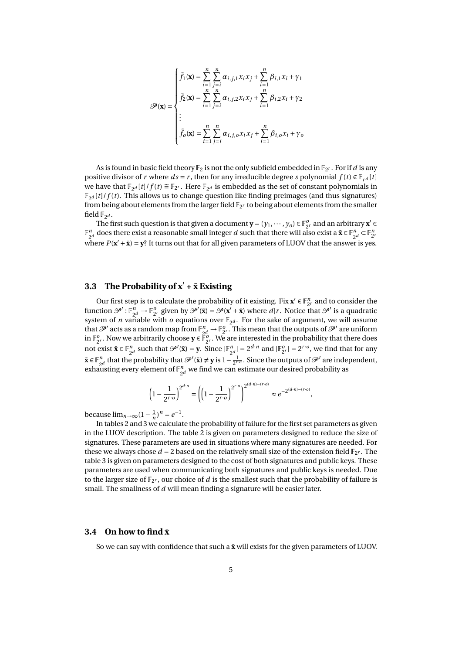$$
\mathcal{P}(\mathbf{x}) = \begin{cases} \tilde{f}_1(\mathbf{x}) = \sum_{i=1}^n \sum_{j=i}^n \alpha_{i,j,1} x_i x_j + \sum_{i=1}^n \beta_{i,1} x_i + \gamma_1 \\ \tilde{f}_2(\mathbf{x}) = \sum_{i=1}^n \sum_{j=i}^n \alpha_{i,j,2} x_i x_j + \sum_{i=1}^n \beta_{i,2} x_i + \gamma_2 \\ \vdots \\ \tilde{f}_o(\mathbf{x}) = \sum_{i=1}^n \sum_{j=i}^n \alpha_{i,j,o} x_i x_j + \sum_{i=1}^n \beta_{i,o} x_i + \gamma_o \end{cases}
$$

As is found in basic field theory  $\mathbb{F}_2$  is not the only subfield embedded in  $\mathbb{F}_{2^r}$ . For if *d* is any positive divisor of *r* where  $ds = r$ , then for any irreducible degree *s* polynomial  $f(t) \in \mathbb{F}_{r^d}[t]$ we have that  $\mathbb{F}_{2^d}[t]/f(t) \cong \mathbb{F}_{2^r}$ . Here  $\mathbb{F}_{2^d}$  is embedded as the set of constant polynomials in  $\mathbb{F}_{2^d}[t]/f(t)$ . This allows us to change question like finding preimages (and thus signatures) from being about elements from the larger field  $\mathbb{F}_{2^r}$  to being about elements from the smaller field  $\mathbb{F}_{2^d}$ .

The first such question is that given a document  $\mathbf{y} = (y_1, \dots, y_o) \in \mathbb{F}_{2^r}^o$  and an arbitrary  $\mathbf{x}' \in$  $\mathbb{F}_{2^d}^n$  does there exist a reasonable small integer *d* such that there will also exist a  $\bar{\mathbf{x}} \in \mathbb{F}_{2^d}^n \subset \mathbb{F}_{2^r}^n$ where  $P(x' + \bar{x}) = y$ ? It turns out that for all given parameters of LUOV that the answer is yes.

#### **3.3** The Probability of  $x' + \bar{x}$  Existing

Our first step is to calculate the probability of it existing. Fix  $\mathbf{x}' \in \mathbb{F}_{2r}^n$  and to consider the function  $\mathcal{P}' : \mathbb{F}_{2^d}^n \to \mathbb{F}_{2^r}^o$  given by  $\mathcal{P}'(\bar{\mathbf{x}}) = \mathcal{P}(\mathbf{x}' + \bar{\mathbf{x}})$  where  $d|r$ . Notice that  $\mathcal{P}'$  is a quadratic system of *n* variable with *o* equations over  $\mathbb{F}_{2^d}$ . For the sake of argument, we will assume that  $\mathscr{P}'$  acts as a random map from  $\mathbb{F}_{\frac{2d}{2}}^n \to \mathbb{F}_{\frac{2r}{2}}^0$ . This mean that the outputs of  $\mathscr{P}'$  are uniform in  $\mathbb{F}_{2^r}^o$ . Now we arbitrarily choose  $\mathbf{y} \in \mathbb{F}_{2^r}^{\mathbb{Z}^o}$ . We are interested in the probability that there does not exist  $\bar{\mathbf{x}} \in \mathbb{F}_{2^d}^n$  such that  $\mathcal{P}'(\bar{\mathbf{x}}) = \mathbf{y}$ . Since  $|\mathbb{F}_{2^d}^n| = 2^{d \cdot n}$  and  $|\mathbb{F}_{2^r}^o| = 2^{r \cdot o}$ , we find that for any  $\bar{\mathbf{x}} \in \mathbb{F}_{2^d}^n$  that the probability that  $\mathcal{P}'(\bar{\mathbf{x}}) \neq \mathbf{y}$  is  $1-\frac{1}{2^{r\cdot 0}}$ . Since the outputs of  $\mathcal{P}'$  are independent, exhausting every element of  $\mathbb{F}_{2d}^n$  we find we can estimate our desired probability as

$$
\left(1 - \frac{1}{2^{r \cdot o}}\right)^{2^{d \cdot n}} = \left(\left(1 - \frac{1}{2^{r \cdot o}}\right)^{2^{r \cdot o}}\right)^{2^{(d \cdot n) - (r \cdot o)}} \approx e^{-2^{(d \cdot n) - (r \cdot o)}},
$$

*h* ecause  $\lim_{n \to \infty} (1 - \frac{1}{n})^n = e^{-1}$ .

In tables 2 and 3 we calculate the probability of failure for the frst set parameters as given in the LUOV description. The table 2 is given on parameters designed to reduce the size of signatures. These parameters are used in situations where many signatures are needed. For these we always chose  $d = 2$  based on the relatively small size of the extension field  $\mathbb{F}_{2^r}$ . The table 3 is given on parameters designed to the cost of both signatures and public keys. These parameters are used when communicating both signatures and public keys is needed. Due to the larger size of  $\mathbb{F}_{2^r}$ , our choice of *d* is the smallest such that the probability of failure is small. The smallness of *d* will mean fnding a signature will be easier later.

#### **3.4** On how to find  $\bar{x}$

So we can say with confidence that such a  $\bar{x}$  will exists for the given parameters of LUOV.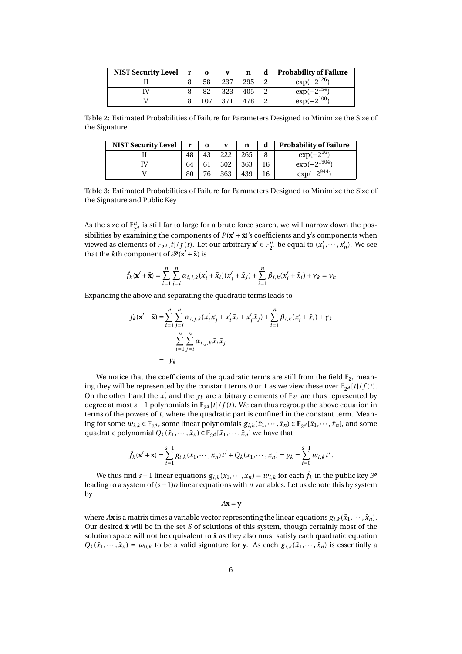| <b>NIST Security Level</b> | r | $\Omega$ | <b>TT</b> | n   | d | <b>Probability of Failure</b> |
|----------------------------|---|----------|-----------|-----|---|-------------------------------|
|                            |   | 58       | 237       | 295 | ◠ | $exp(-2^{126})$               |
|                            |   | 82       | 323       | 405 | ົ | $exp(-2^{154})$               |
|                            |   | 107      | 371       | 478 | റ | $\exp(-2^{100})$              |

Table 2: Estimated Probabilities of Failure for Parameters Designed to Minimize the Size of the Signature

| <b>NIST Security Level</b> | r  | $\Omega$ | v   | n   | d  | <b>Probability of Failure</b> |
|----------------------------|----|----------|-----|-----|----|-------------------------------|
|                            | 48 | 43       | 222 | 265 |    | $exp(-2^{56})$                |
|                            | 64 | 61       | 302 | 363 | 16 | $\exp(-2^{1904})$             |
|                            | 80 | 76       | 363 | 439 | 16 | $exp(-2^{944})$               |

Table 3: Estimated Probabilities of Failure for Parameters Designed to Minimize the Size of the Signature and Public Key

As the size of  $\mathbb{F}_{2^d}^n$  is still far to large for a brute force search, we will narrow down the possibilities by examining the components of  $P(\mathbf{x}' + \bar{\mathbf{x}})$ 's coefficients and y's components when<br>viewed as elements of  $\mathbb{F}_{2^d}[t]/f(t)$ . Let our arbitrary  $\mathbf{x}' \in \mathbb{F}_{2^r}^n$  be equal to  $(x'_1, \dots, x'_n)$ . We see that the *k*th component of  $\mathcal{P}(\mathbf{x}' + \bar{\mathbf{x}})$  is

$$
\tilde{f}_k(\mathbf{x}' + \bar{\mathbf{x}}) = \sum_{i=1}^n \sum_{j=i}^n \alpha_{i,j,k} (x'_i + \bar{x}_i)(x'_j + \bar{x}_j) + \sum_{i=1}^n \beta_{i,k} (x'_i + \bar{x}_i) + \gamma_k = y_k
$$

Expanding the above and separating the quadratic terms leads to

$$
\tilde{f}_k(\mathbf{x}' + \bar{\mathbf{x}}) = \sum_{i=1}^n \sum_{j=i}^n \alpha_{i,j,k} (x'_i x'_j + x'_i \bar{x}_i + x'_j \bar{x}_j) + \sum_{i=1}^n \beta_{i,k} (x'_i + \bar{x}_i) + \gamma_k + \sum_{i=1}^n \sum_{j=i}^n \alpha_{i,j,k} \bar{x}_i \bar{x}_j
$$
\n
$$
= y_k
$$

We notice that the coefficients of the quadratic terms are still from the field  $\mathbb{F}_2$ , mean-<br>ing they will be represented by the constant terms 0 or 1 as we view these over  $\mathbb{F}_{2^d}[t]/f(t)$ . On the other hand the  $x'_i$  and the  $y_k$  are arbitrary elements of  $\mathbb{F}_{2^r}$  are thus represented by degree at most  $s - 1$  polynomials in  $\mathbb{F}_{2^d}[t]/f(t)$ . We can thus regroup the above equation in terms of the powers of *t*, where the quadratic part is confned in the constant term. Meaning for some  $w_{i,k} \in \mathbb{F}_{2^d}$ , some linear polynomials  $g_{i,k}(\bar{x}_1,\dots,\bar{x}_n) \in \mathbb{F}_{2^d}[\bar{x}_1,\dots,\bar{x}_n]$ , and some quadratic polynomial  $Q_k(\bar{x}_1,\dots,\bar{x}_n) \in \mathbb{F}_{2^d}[\bar{x}_1,\dots,\bar{x}_n]$  we have that

$$
\tilde{f}_k(\mathbf{x}' + \bar{\mathbf{x}}) = \sum_{i=1}^{s-1} g_{i,k}(\bar{x}_1, \cdots, \bar{x}_n) t^i + Q_k(\bar{x}_1, \cdots, \bar{x}_n) = y_k = \sum_{i=0}^{s-1} w_{i,k} t^i.
$$

We thus find *s* − 1 linear equations  $g_{i,k}(\bar{x}_1,\cdots,\bar{x}_n)=w_{i,k}$  for each  $\tilde{f}_k$  in the public key  $\mathscr P$ leading to a system of (*s* −1)*o* linear equations with *n* variables. Let us denote this by system by

 $A$ **x** = **y** 

where *A***x** is a matrix times a variable vector representing the linear equations  $g_{i,k}(\bar{x}_1,\dots,\bar{x}_n)$ . Our desired  $\bar{\mathbf{x}}$  will be in the set *S* of solutions of this system, though certainly most of the solution space will not be equivalent to  $\bar{x}$  as they also must satisfy each quadratic equation  $Q_k(\bar{x}_1,\dots,\bar{x}_n) = w_{0,k}$  to be a valid signature for **y**. As each  $g_{i,k}(\bar{x}_1,\dots,\bar{x}_n)$  is essentially a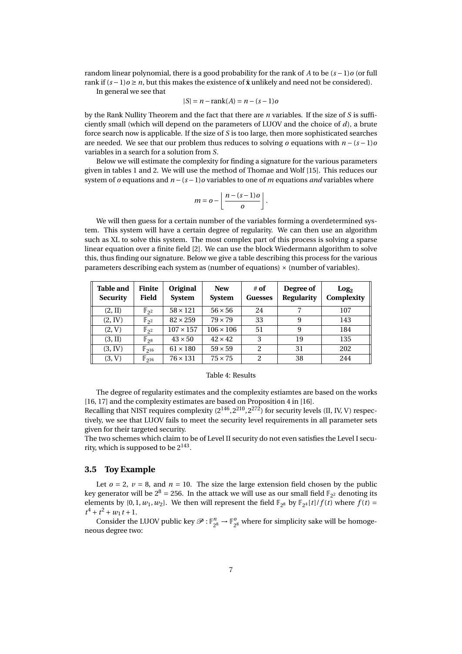random linear polynomial, there is a good probability for the rank of *A* to be (*s* −1)*o* (or full rank if  $(s-1)$ *o* ≥ *n*, but this makes the existence of **x** unlikely and need not be considered).

In general we see that

$$
|S| = n - \operatorname{rank}(A) = n - (s - 1)a
$$

by the Rank Nullity Theorem and the fact that there are *n* variables. If the size of *S* is suffciently small (which will depend on the parameters of LUOV and the choice of *d*), a brute force search now is applicable. If the size of *S* is too large, then more sophisticated searches are needed. We see that our problem thus reduces to solving *o* equations with *n* − (*s* − 1)*o* variables in a search for a solution from *S*.

Below we will estimate the complexity for fnding a signature for the various parameters given in tables 1 and 2. We will use the method of Thomae and Wolf [\[15\]](#page-11-13). This reduces our system of *o* equations and  $n - (s - 1)$ *o* variables to one of *m* equations *and* variables where

$$
m = o - \left\lfloor \frac{n - (s - 1) o}{o} \right\rfloor.
$$

We will then guess for a certain number of the variables forming a overdetermined system. This system will have a certain degree of regularity. We can then use an algorithm such as XL to solve this system. The most complex part of this process is solving a sparse linear equation over a fnite feld [\[2\]](#page-11-14). We can use the block Wiedermann algorithm to solve this, thus fnding our signature. Below we give a table describing this process for the various parameters describing each system as (number of equations) × (number of variables).

| <b>Table and</b><br><b>Security</b> | Finite<br>Field       | Original<br><b>System</b> | <b>New</b><br><b>System</b> | # of<br><b>Guesses</b> | Degree of<br><b>Regularity</b> | Log <sub>2</sub><br>Complexity |
|-------------------------------------|-----------------------|---------------------------|-----------------------------|------------------------|--------------------------------|--------------------------------|
| $(2, \mathrm{II})$                  | $\mathbb{F}_{2^2}$    | $58 \times 121$           | $56 \times 56$              | 24                     |                                | 107                            |
| (2, IV)                             | $\mathbb{F}_{2^2}$    | $82 \times 259$           | $79 \times 79$              | 33                     | 9                              | 143                            |
| (2, V)                              | $\mathbb{F}_{2^2}$    | $107 \times 157$          | $106 \times 106$            | 51                     | 9                              | 184                            |
| $(3, \mathrm{II})$                  | $\mathbb{F}_{2^8}$    | $43 \times 50$            | $42 \times 42$              | 3                      | 19                             | 135                            |
| (3, IV)                             | $\mathbb{F}_{2^{16}}$ | $61 \times 180$           | $59 \times 59$              | 2                      | 31                             | 202                            |
| (3, V)                              | $\mathbb{F}_{2^{16}}$ | $76 \times 131$           | $75 \times 75$              | $\mathfrak{D}$         | 38                             | 244                            |

#### Table 4: Results

The degree of regularity estimates and the complexity estiamtes are based on the works [\[16,](#page-12-0) [17\]](#page-12-1) and the complexity estimates are based on Proposition 4 in [\[16\]](#page-12-0).

Recalling that NIST requires complexity  $(2^{146}, 2^{210}, 2^{272})$  for security levels (II, IV, V) respectively, we see that LUOV fails to meet the security level requirements in all parameter sets given for their targeted security.

The two schemes which claim to be of Level II security do not even satisfes the Level I security, which is supposed to be  $2^{143}$ .

#### **3.5 Toy Example**

Let  $o = 2$ ,  $v = 8$ , and  $n = 10$ . The size the large extension field chosen by the public key generator will be  $2^8 = 256$ . In the attack we will use as our small field  $\mathbb{F}_{2^2}$  denoting its elements by {0, 1, *w*<sub>1</sub>, *w*<sub>2</sub>}. We then will represent the field  $\mathbb{F}_{2^8}$  by  $\mathbb{F}_{2^4}[t]/f(t)$  where  $f(t)$  =  $t^4 + t^2 + w_1 t + 1.$ 

Consider the LUOV public key  $\mathcal{P}: \mathbb{F}_{2^8}^n \to \mathbb{F}_{2^8}^o$  where for simplicity sake will be homogeneous degree two: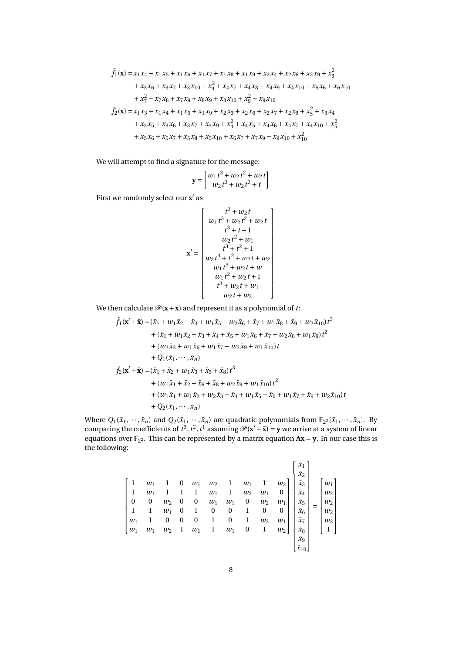$$
\tilde{f}_1(\mathbf{x}) = x_1 x_4 + x_1 x_5 + x_1 x_6 + x_1 x_7 + x_1 x_8 + x_1 x_9 + x_2 x_4 + x_2 x_6 + x_2 x_9 + x_3^2
$$
  
+  $x_3 x_6 + x_3 x_7 + x_3 x_{10} + x_4^2 + x_4 x_7 + x_4 x_8 + x_4 x_9 + x_4 x_{10} + x_5 x_6 + x_6 x_{10}$   
+  $x_7^2 + x_7 x_8 + x_7 x_9 + x_8 x_9 + x_8 x_{10} + x_9^2 + x_9 x_{10}$   

$$
\tilde{f}_2(\mathbf{x}) = x_1 x_3 + x_1 x_4 + x_1 x_5 + x_1 x_9 + x_2 x_3 + x_2 x_6 + x_2 x_7 + x_2 x_9 + x_3^2 + x_3 x_4
$$
  
+  $x_3 x_5 + x_3 x_6 + x_3 x_7 + x_3 x_9 + x_4^2 + x_4 x_5 + x_4 x_6 + x_4 x_7 + x_4 x_{10} + x_5^2$   
+  $x_5 x_6 + x_5 x_7 + x_5 x_8 + x_5 x_{10} + x_6 x_7 + x_7 x_9 + x_9 x_{10} + x_{10}^2$ 

We will attempt to fnd a signature for the message:

$$
\mathbf{y} = \begin{bmatrix} w_1 t^3 + w_2 t^2 + w_2 t \\ w_2 t^3 + w_2 t^2 + t \end{bmatrix}
$$

First we randomly select our **x'** as

 $\sim$   $\sim$ 

$$
\mathbf{x}' = \begin{bmatrix} t^3 + w_2 t \\ w_1 t^3 + w_2 t^2 + w_2 t \\ t^3 + t + 1 \\ w_2 t^2 + w_1 \\ t^3 + t^2 + 1 \\ w_2 t^3 + t^2 + w_2 t + w_2 \\ w_1 t^3 + w_2 t + w \\ w_1 t^2 + w_2 t + 1 \\ t^3 + w_2 t + w_1 \\ w_2 t + w_2 \end{bmatrix}
$$

We then calculate  $\mathcal{P}(\mathbf{x} + \bar{\mathbf{x}})$  and represent it as a polynomial of *t*:

$$
\tilde{f}_1(\mathbf{x}' + \bar{\mathbf{x}}) = (\bar{x}_1 + w_1 \bar{x}_2 + \bar{x}_3 + w_1 \bar{x}_5 + w_2 \bar{x}_6 + \bar{x}_7 + w_1 \bar{x}_8 + \bar{x}_9 + w_2 \bar{x}_{10}) t^3
$$
\n
$$
+ (\bar{x}_1 + w_1 \bar{x}_2 + \bar{x}_3 + \bar{x}_4 + \bar{x}_5 + w_1 \bar{x}_6 + \bar{x}_7 + w_2 \bar{x}_8 + w_1 \bar{x}_9) t^2
$$
\n
$$
+ (w_2 \bar{x}_3 + w_1 \bar{x}_6 + w_1 \bar{x}_7 + w_2 \bar{x}_9 + w_1 \bar{x}_{10}) t
$$
\n
$$
+ Q_1(\bar{x}_1, \cdots, \bar{x}_n)
$$
\n
$$
\tilde{f}_2(\mathbf{x}' + \bar{\mathbf{x}}) = (\bar{x}_1 + \bar{x}_2 + w_1 \bar{x}_3 + \bar{x}_5 + \bar{x}_8) t^3
$$
\n
$$
+ (w_1 \bar{x}_1 + \bar{x}_2 + \bar{x}_6 + \bar{x}_8 + w_2 \bar{x}_9 + w_1 \bar{x}_{10}) t^2
$$
\n
$$
+ (w_1 \bar{x}_1 + w_1 \bar{x}_2 + w_2 \bar{x}_3 + \bar{x}_4 + w_1 \bar{x}_5 + \bar{x}_6 + w_1 \bar{x}_7 + \bar{x}_9 + w_2 \bar{x}_{10}) t
$$
\n
$$
+ Q_2(\bar{x}_1, \cdots, \bar{x}_n)
$$

Where  $Q_1(\bar{x}_1, \dots, \bar{x}_n)$  and  $Q_2(\bar{x}_1, \dots, \bar{x}_n)$  are quadratic polynomials from  $\mathbb{F}_{2^2}[\bar{x}_1, \dots, \bar{x}_n]$ . By comparing the coefficients of  $t^3, t^2, t^1$  assuming  $\mathcal{P}(\mathbf{x}' + \bar{\mathbf{x}}) = \mathbf{y}$  we arrive at a system o equations over  $\mathbb{F}_{2^2}$ . This can be represented by a matrix equation  $Ax = y$ . In our case this is the following:

$$
\begin{bmatrix} 1 & w_1 & 1 & 0 & w_1 & w_2 & 1 & w_1 & 1 & w_2 \\ 1 & w_1 & 1 & 1 & 1 & w_1 & 1 & w_2 & w_1 & 0 \\ 0 & 0 & w_2 & 0 & 0 & w_1 & w_1 & 0 & w_2 & w_1 \\ 1 & 1 & w_1 & 0 & 1 & 0 & 0 & 1 & 0 & 0 \\ w_1 & 1 & 0 & 0 & 0 & 1 & 0 & 1 & w_2 & w_1 \\ w_1 & w_1 & w_2 & 1 & w_1 & 1 & w_1 & 0 & 1 & w_2 \end{bmatrix} \begin{bmatrix} \bar{x}_1 \\ \bar{x}_2 \\ \bar{x}_3 \\ \bar{x}_4 \\ \bar{x}_5 \\ \bar{x}_6 \\ \bar{x}_7 \\ \bar{x}_8 \\ \bar{x}_9 \\ \bar{x}_0 \\ \bar{x}_1 \\ \bar{x}_0 \end{bmatrix} = \begin{bmatrix} w_1 \\ w_2 \\ w_2 \\ w_3 \\ w_4 \\ \bar{x}_5 \\ \bar{x}_9 \\ \bar{x}_0 \\ \bar{x}_1 \\ \bar{x}_0 \\ \bar{x}_1 \\ \bar{x}_0 \\ \bar{x}_1 \\ \bar{x}_2 \\ \bar{x}_3 \\ \bar{x}_4 \\ \bar{x}_1 \\ \bar{x}_2 \\ \bar{x}_3 \\ \bar{x}_4 \\ \bar{x}_5 \\ \bar{x}_6 \\ \bar{x}_7 \\ \bar{x}_8 \\ \bar{x}_9 \\ \bar{x}_1 \\ \bar{x}_2 \\ \bar{x}_3 \\ \bar{x}_4 \\ \bar{x}_5 \\ \bar{x}_7 \\ \bar{x}_8 \\ \bar{x}_9 \\ \bar{x}_0 \\ \bar{x}_1 \\ \bar{x}_2 \\ \bar{x}_3 \\ \bar{x}_4 \\ \bar{x}_5 \\ \bar{x}_7 \\ \bar{x}_8 \\ \bar{x}_9 \\ \bar{x}_0 \\ \bar{x}_1 \\ \bar{x}_2 \\ \bar{x}_3 \\ \bar{x}_4 \\ \bar{x}_5 \\ \bar{x}_6 \\ \bar{x}_7 \\ \bar{x}_8 \\ \bar{x}_9 \\ \bar{x}_0 \\ \bar{x}_1 \\ \bar{x}_2 \\ \bar{x}_3 \\ \bar{x}_4 \\ \bar{x}_5 \\ \bar{x}_6 \\ \bar{x}_7 \\ \bar{x}_8 \\ \bar{x}_9 \\ \bar{x}_0 \\ \bar{x}_1 \\ \bar{x}_2 \\ \bar{x}_3 \\ \bar{x}_4 \\ \bar{x}_5 \\ \bar{x}_6 \\ \bar{x}_7 \\ \bar{x}_8 \\ \bar{x}_9 \\ \bar{x}_0 \\ \bar{x}_1 \\ \bar{x}_2 \\ \bar{x}_3 \\ \bar{x}_4 \\ \bar{x
$$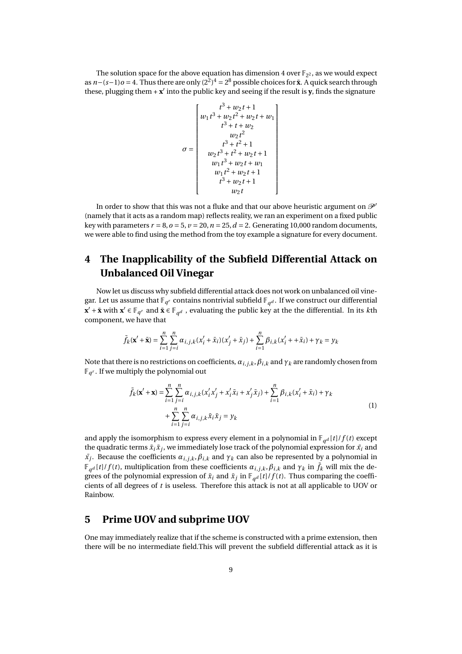The solution space for the above equation has dimension 4 over  $\mathbb{F}_{2^2}$ , as we would expect as  $n-(s-1)$   $o = 4$ . Thus there are only  $(2^2)^4 = 2^8$  possible choices for  $\bar{x}$ . A quick search through these, plugging them  $+x'$  into the public key and seeing if the result is **y**, finds the signature

$$
\sigma = \left[ \begin{array}{c} t^3 + w_2 t + 1 \\ w_1 t^3 + w_2 t^2 + w_2 t + w_1 \\ t^3 + t + w_2 \\ w_2 t^2 \\ w_2 t^2 \\ t^3 + t^2 + 1 \\ w_2 t^3 + t^2 + w_2 t + 1 \\ w_1 t^3 + w_2 t + w_1 \\ w_1 t^2 + w_2 t + 1 \\ t^3 + w_2 t + 1 \\ w_2 t \end{array} \right]
$$

In order to show that this was not a fluke and that our above heuristic argument on  $\mathcal{P}'$ (namely that it acts as a random map) refects reality, we ran an experiment on a fxed public key with parameters  $r = 8$ ,  $o = 5$ ,  $v = 20$ ,  $n = 25$ ,  $d = 2$ . Generating 10,000 random documents, we were able to fnd using the method from the toy example a signature for every document.

# **4 The Inapplicability of the Subfeld Differential Attack on Unbalanced Oil Vinegar**

Now let us discuss why subfeld differential attack does not work on unbalanced oil vinegar. Let us assume that  $\mathbb{F}_{q^r}$  contains nontrivial subfield  $\mathbb{F}_{q^d}$ . If we construct our differential **x**<sup> $′$ </sup> + **x** with **x**<sup> $′$ </sup> ∈  $\mathbb{F}_{q}$ <sup>*r*</sup> and **x** ∈  $\mathbb{F}_{q}$ *d* , evaluating the public key at the the differential. In its *k*th component, we have that

$$
\bar{f}_k(\mathbf{x}' + \bar{\mathbf{x}}) = \sum_{i=1}^n \sum_{j=i}^n \alpha_{i,j,k} (x'_i + \bar{x}_i)(x'_j + \bar{x}_j) + \sum_{i=1}^n \beta_{i,k} (x'_i + \bar{x}_i) + \gamma_k = y_k
$$

Note that there is no restrictions on coefficients,  $\alpha_{i,j,k}$ ,  $\beta_{i,k}$  and  $\gamma_k$  are randomly chosen from  $\mathbb{F}_{q^r}$ . If we multiply the polynomial out

$$
\tilde{f}_k(\mathbf{x}' + \mathbf{x}) = \sum_{i=1}^n \sum_{j=i}^n \alpha_{i,j,k} (x'_i x'_j + x'_i \bar{x}_i + x'_j \bar{x}_j) + \sum_{i=1}^n \beta_{i,k} (x'_i + \bar{x}_i) + \gamma_k \n+ \sum_{i=1}^n \sum_{j=i}^n \alpha_{i,j,k} \bar{x}_i \bar{x}_j = y_k
$$
\n(1)

and apply the isomorphism to express every element in a polynomial in  $\mathbb{F}_{q^d}[t]/f(t)$  except the quadratic terms  $\bar{x}_i \bar{x}_j$ , we immediately lose track of the polynomial expression for  $\bar{x}_i$  and *x*<sup>*j*</sup>. Because the coefficients  $\alpha_{i,j,k}$ ,  $\beta_{i,k}$  and  $\gamma_k$  can also be represented by a polynomial in  $\int_{\mathbb{R}} f_q d[t]/f(t)$ , multiplication from these coefficients  $\alpha_{i,j,k}, \beta_{i,k}$  and  $\gamma_k$  in  $\bar{f}_k$  will mix the degrees of the polynomial expression of  $\bar{x}_i$  and  $\bar{x}_j$  in  $\mathbb{F}_{q^d}[t]/f(t)$ . Thus comparing the coefficients of all degrees of *t* is useless. Therefore this attack is not at all applicable to UOV or Rainbow.

#### **Prime UOV and subprime UOV 5**

One may immediately realize that if the scheme is constructed with a prime extension, then there will be no intermediate feld.This will prevent the subfeld differential attack as it is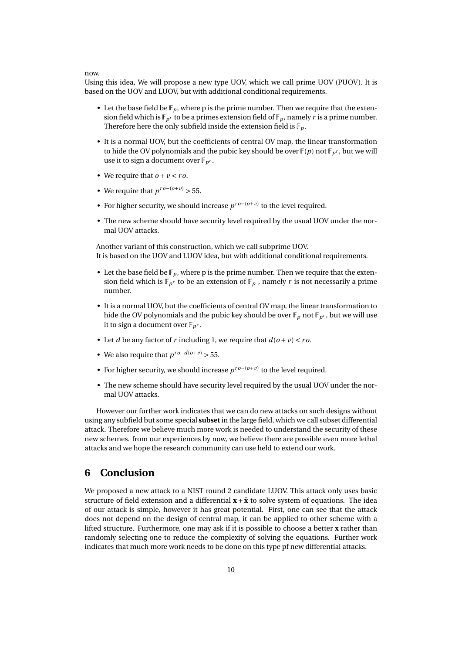#### now.

Using this idea, We will propose a new type UOV, which we call prime UOV (PUOV). It is based on the UOV and LUOV, but with additional conditional requirements.

- Let the base field be  $\mathbb{F}_p$ , where p is the prime number. Then we require that the extension field which is  $\mathbb{F}_{p^r}$  to be a primes extension field of  $\mathbb{F}_p$ , namely *r* is a prime number. Therefore here the only subfield inside the extension field is  $\mathbb{F}_p$ .
- It is a normal UOV, but the coeffcients of central OV map, the linear transformation to hide the OV polynomials and the pubic key should be over  $\mathbb{F}(p)$  not  $\mathbb{F}_{p^r}$ , but we will use it to sign a document over  $\mathbb{F}_{p^r}$ .
- We require that  $o + v < ro$ .
- We require that  $p^{ro-(o+\nu)} > 55$ .
- For higher security, we should increase  $p^{ro-(o+\nu)}$  to the level required.
- The new scheme should have security level required by the usual UOV under the normal UOV attacks.

Another variant of this construction, which we call subprime UOV. It is based on the UOV and LUOV idea, but with additional conditional requirements.

- Let the base field be  $\mathbb{F}_p$ , where p is the prime number. Then we require that the extension field which is  $\mathbb{F}_{p^r}$  to be an extension of  $\mathbb{F}_p$ , namely *r* is not necessarily a prime number.
- It is a normal UOV, but the coeffcients of central OV map, the linear transformation to hide the OV polynomials and the pubic key should be over  $\mathbb{F}_p$  not  $\mathbb{F}_{p^r}$ , but we will use it to sign a document over  $\mathbb{F}_{p^r}$ .
- Let *d* be any factor of *r* including 1, we require that  $d(o + v) < ro$ .
- We also require that  $p^{ro-d(o+v)} > 55$ .
- For higher security, we should increase *pr o*−(*o*+*v*) to the level required.
- The new scheme should have security level required by the usual UOV under the normal UOV attacks.

However our further work indicates that we can do new attacks on such designs without using any subfeld but some special **subset** in the large feld, which we call subset differential attack. Therefore we believe much more work is needed to understand the security of these new schemes. from our experiences by now, we believe there are possible even more lethal attacks and we hope the research community can use held to extend our work.

### **6 Conclusion**

We proposed a new attack to a NIST round 2 candidate LUOV. This attack only uses basic structure of field extension and a differential  $\mathbf{x} + \bar{\mathbf{x}}$  to solve system of equations. The idea of our attack is simple, however it has great potential. First, one can see that the attack does not depend on the design of central map, it can be applied to other scheme with a lifted structure. Furthermore, one may ask if it is possible to choose a better **x** rather than randomly selecting one to reduce the complexity of solving the equations. Further work indicates that much more work needs to be done on this type pf new differential attacks.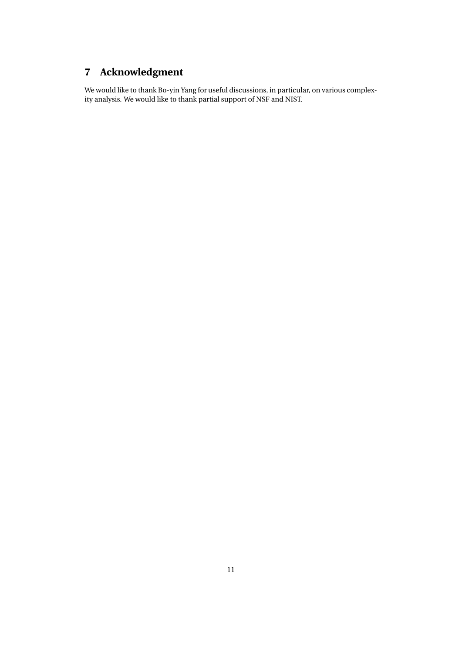# **7 Acknowledgment**

We would like to thank Bo-yin Yang for useful discussions, in particular, on various complexity analysis. We would like to thank partial support of NSF and NIST.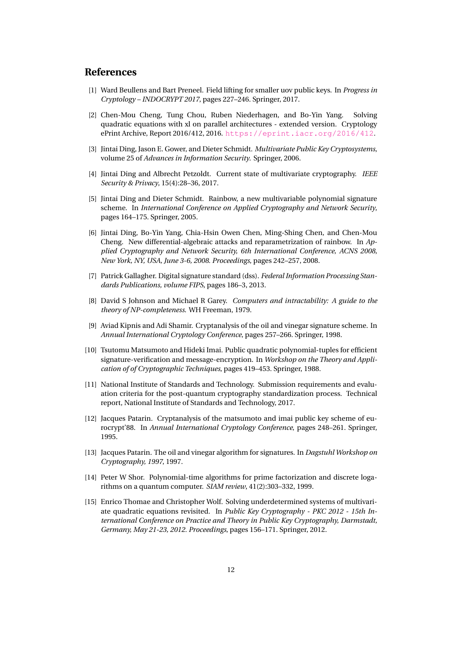### **References**

- <span id="page-11-0"></span>[1] Ward Beullens and Bart Preneel. Field lifting for smaller uov public keys. In *Progress in Cryptology – INDOCRYPT 2017*, pages 227–246. Springer, 2017.
- <span id="page-11-14"></span>[2] Chen-Mou Cheng, Tung Chou, Ruben Niederhagen, and Bo-Yin Yang. Solving quadratic equations with xl on parallel architectures - extended version. Cryptology ePrint Archive, Report 2016/412, 2016. <https://eprint.iacr.org/2016/412>.
- <span id="page-11-4"></span>[3] Jintai Ding, Jason E. Gower, and Dieter Schmidt. *Multivariate Public Key Cryptosystems*, volume 25 of *Advances in Information Security*. Springer, 2006.
- <span id="page-11-5"></span>[4] Jintai Ding and Albrecht Petzoldt. Current state of multivariate cryptography. *IEEE Security & Privacy*, 15(4):28–36, 2017.
- <span id="page-11-11"></span>[5] Jintai Ding and Dieter Schmidt. Rainbow, a new multivariable polynomial signature scheme. In *International Conference on Applied Cryptography and Network Security*, pages 164–175. Springer, 2005.
- <span id="page-11-12"></span>[6] Jintai Ding, Bo-Yin Yang, Chia-Hsin Owen Chen, Ming-Shing Chen, and Chen-Mou Cheng. New differential-algebraic attacks and reparametrization of rainbow. In *Applied Cryptography and Network Security, 6th International Conference, ACNS 2008, New York, NY, USA, June 3-6, 2008. Proceedings*, pages 242–257, 2008.
- <span id="page-11-1"></span>[7] Patrick Gallagher. Digital signature standard (dss). *Federal Information Processing Standards Publications, volume FIPS*, pages 186–3, 2013.
- <span id="page-11-6"></span>[8] David S Johnson and Michael R Garey. *Computers and intractability: A guide to the theory of NP-completeness*. WH Freeman, 1979.
- <span id="page-11-10"></span>[9] Aviad Kipnis and Adi Shamir. Cryptanalysis of the oil and vinegar signature scheme. In *Annual International Cryptology Conference*, pages 257–266. Springer, 1998.
- <span id="page-11-7"></span>[10] Tsutomu Matsumoto and Hideki Imai. Public quadratic polynomial-tuples for effcient signature-verifcation and message-encryption. In *Workshop on the Theory and Application of of Cryptographic Techniques*, pages 419–453. Springer, 1988.
- <span id="page-11-3"></span>[11] National Institute of Standards and Technology. Submission requirements and evaluation criteria for the post-quantum cryptography standardization process. Technical report, National Institute of Standards and Technology, 2017.
- <span id="page-11-8"></span>[12] Jacques Patarin. Cryptanalysis of the matsumoto and imai public key scheme of eurocrypt'88. In *Annual International Cryptology Conference*, pages 248–261. Springer, 1995.
- <span id="page-11-9"></span>[13] Jacques Patarin. The oil and vinegar algorithm for signatures. In *Dagstuhl Workshop on Cryptography, 1997*, 1997.
- <span id="page-11-2"></span>[14] Peter W Shor. Polynomial-time algorithms for prime factorization and discrete logarithms on a quantum computer. *SIAM review*, 41(2):303–332, 1999.
- <span id="page-11-13"></span>[15] Enrico Thomae and Christopher Wolf. Solving underdetermined systems of multivariate quadratic equations revisited. In *Public Key Cryptography - PKC 2012 - 15th International Conference on Practice and Theory in Public Key Cryptography, Darmstadt, Germany, May 21-23, 2012. Proceedings*, pages 156–171. Springer, 2012.